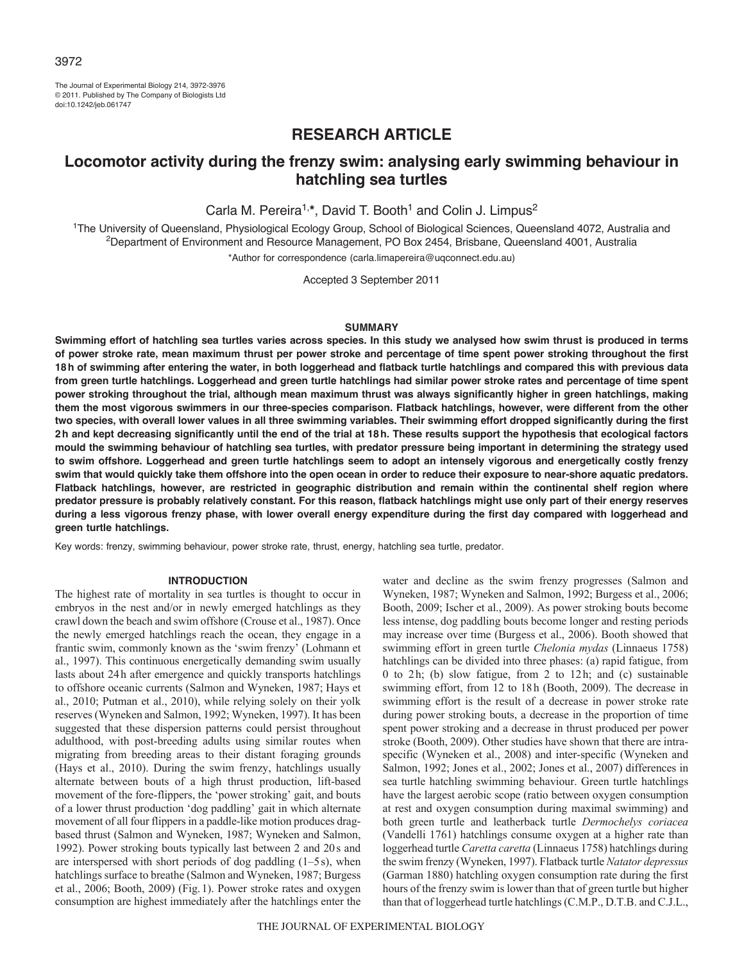The Journal of Experimental Biology 214, 3972-3976 © 2011. Published by The Company of Biologists Ltd doi:10.1242/jeb.061747

# **RESEARCH ARTICLE**

# **Locomotor activity during the frenzy swim: analysing early swimming behaviour in hatchling sea turtles**

Carla M. Pereira<sup>1,\*</sup>, David T. Booth<sup>1</sup> and Colin J. Limpus<sup>2</sup>

<sup>1</sup>The University of Queensland, Physiological Ecology Group, School of Biological Sciences, Queensland 4072, Australia and 2Department of Environment and Resource Management, PO Box 2454, Brisbane, Queensland 4001, Australia \*Author for correspondence (carla.limapereira@uqconnect.edu.au)

Accepted 3 September 2011

#### **SUMMARY**

**Swimming effort of hatchling sea turtles varies across species. In this study we analysed how swim thrust is produced in terms of power stroke rate, mean maximum thrust per power stroke and percentage of time spent power stroking throughout the first 18h of swimming after entering the water, in both loggerhead and flatback turtle hatchlings and compared this with previous data from green turtle hatchlings. Loggerhead and green turtle hatchlings had similar power stroke rates and percentage of time spent power stroking throughout the trial, although mean maximum thrust was always significantly higher in green hatchlings, making them the most vigorous swimmers in our three-species comparison. Flatback hatchlings, however, were different from the other two species, with overall lower values in all three swimming variables. Their swimming effort dropped significantly during the first 2h and kept decreasing significantly until the end of the trial at 18h. These results support the hypothesis that ecological factors mould the swimming behaviour of hatchling sea turtles, with predator pressure being important in determining the strategy used to swim offshore. Loggerhead and green turtle hatchlings seem to adopt an intensely vigorous and energetically costly frenzy swim that would quickly take them offshore into the open ocean in order to reduce their exposure to near-shore aquatic predators. Flatback hatchlings, however, are restricted in geographic distribution and remain within the continental shelf region where predator pressure is probably relatively constant. For this reason, flatback hatchlings might use only part of their energy reserves during a less vigorous frenzy phase, with lower overall energy expenditure during the first day compared with loggerhead and green turtle hatchlings.**

Key words: frenzy, swimming behaviour, power stroke rate, thrust, energy, hatchling sea turtle, predator.

#### **INTRODUCTION**

The highest rate of mortality in sea turtles is thought to occur in embryos in the nest and/or in newly emerged hatchlings as they crawl down the beach and swim offshore (Crouse et al., 1987). Once the newly emerged hatchlings reach the ocean, they engage in a frantic swim, commonly known as the 'swim frenzy' (Lohmann et al., 1997). This continuous energetically demanding swim usually lasts about 24h after emergence and quickly transports hatchlings to offshore oceanic currents (Salmon and Wyneken, 1987; Hays et al., 2010; Putman et al., 2010), while relying solely on their yolk reserves (Wyneken and Salmon, 1992; Wyneken, 1997). It has been suggested that these dispersion patterns could persist throughout adulthood, with post-breeding adults using similar routes when migrating from breeding areas to their distant foraging grounds (Hays et al., 2010). During the swim frenzy, hatchlings usually alternate between bouts of a high thrust production, lift-based movement of the fore-flippers, the 'power stroking' gait, and bouts of a lower thrust production 'dog paddling' gait in which alternate movement of all four flippers in a paddle-like motion produces dragbased thrust (Salmon and Wyneken, 1987; Wyneken and Salmon, 1992). Power stroking bouts typically last between 2 and 20s and are interspersed with short periods of dog paddling (1–5s), when hatchlings surface to breathe (Salmon and Wyneken, 1987; Burgess et al., 2006; Booth, 2009) (Fig.1). Power stroke rates and oxygen consumption are highest immediately after the hatchlings enter the

water and decline as the swim frenzy progresses (Salmon and Wyneken, 1987; Wyneken and Salmon, 1992; Burgess et al., 2006; Booth, 2009; Ischer et al., 2009). As power stroking bouts become less intense, dog paddling bouts become longer and resting periods may increase over time (Burgess et al., 2006). Booth showed that swimming effort in green turtle *Chelonia mydas* (Linnaeus 1758) hatchlings can be divided into three phases: (a) rapid fatigue, from 0 to 2h; (b) slow fatigue, from 2 to 12h; and (c) sustainable swimming effort, from 12 to 18h (Booth, 2009). The decrease in swimming effort is the result of a decrease in power stroke rate during power stroking bouts, a decrease in the proportion of time spent power stroking and a decrease in thrust produced per power stroke (Booth, 2009). Other studies have shown that there are intraspecific (Wyneken et al., 2008) and inter-specific (Wyneken and Salmon, 1992; Jones et al., 2002; Jones et al., 2007) differences in sea turtle hatchling swimming behaviour. Green turtle hatchlings have the largest aerobic scope (ratio between oxygen consumption at rest and oxygen consumption during maximal swimming) and both green turtle and leatherback turtle *Dermochelys coriacea* (Vandelli 1761) hatchlings consume oxygen at a higher rate than loggerhead turtle *Caretta caretta* (Linnaeus 1758) hatchlings during the swim frenzy (Wyneken, 1997). Flatback turtle *Natator depressus* (Garman 1880) hatchling oxygen consumption rate during the first hours of the frenzy swim is lower than that of green turtle but higher than that of loggerhead turtle hatchlings (C.M.P., D.T.B. and C.J.L.,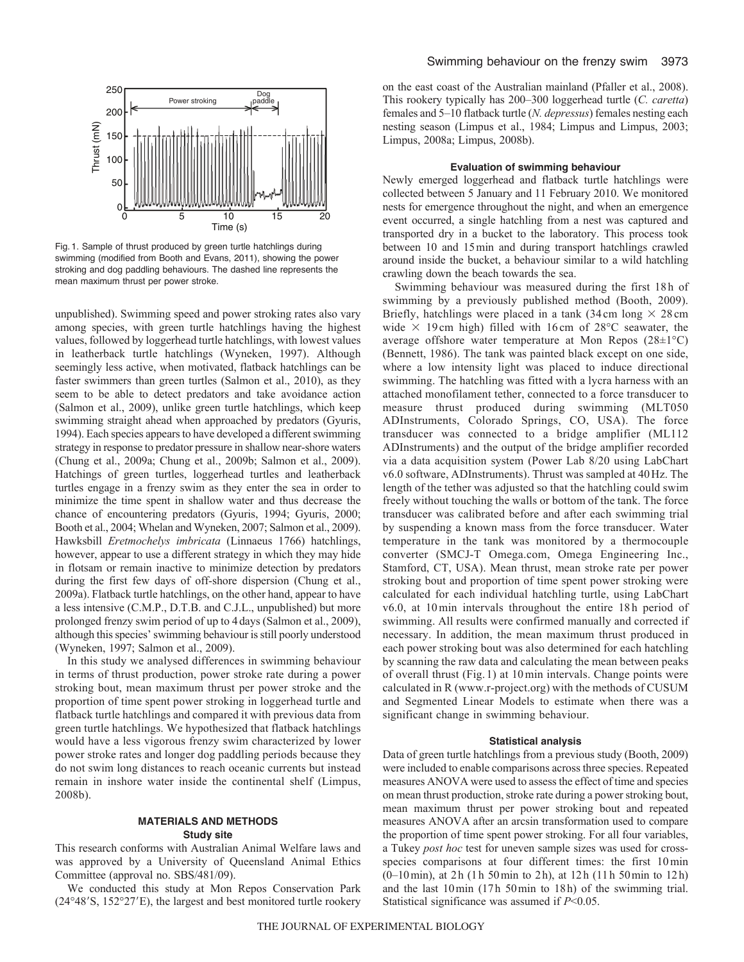

Fig. 1. Sample of thrust produced by green turtle hatchlings during swimming (modified from Booth and Evans, 2011), showing the power stroking and dog paddling behaviours. The dashed line represents the mean maximum thrust per power stroke.

unpublished). Swimming speed and power stroking rates also vary among species, with green turtle hatchlings having the highest values, followed by loggerhead turtle hatchlings, with lowest values in leatherback turtle hatchlings (Wyneken, 1997). Although seemingly less active, when motivated, flatback hatchlings can be faster swimmers than green turtles (Salmon et al., 2010), as they seem to be able to detect predators and take avoidance action (Salmon et al., 2009), unlike green turtle hatchlings, which keep swimming straight ahead when approached by predators (Gyuris, 1994). Each species appears to have developed a different swimming strategy in response to predator pressure in shallow near-shore waters (Chung et al., 2009a; Chung et al., 2009b; Salmon et al., 2009). Hatchings of green turtles, loggerhead turtles and leatherback turtles engage in a frenzy swim as they enter the sea in order to minimize the time spent in shallow water and thus decrease the chance of encountering predators (Gyuris, 1994; Gyuris, 2000; Booth et al., 2004; Whelan and Wyneken, 2007; Salmon et al., 2009). Hawksbill *Eretmochelys imbricata* (Linnaeus 1766) hatchlings, however, appear to use a different strategy in which they may hide in flotsam or remain inactive to minimize detection by predators during the first few days of off-shore dispersion (Chung et al., 2009a). Flatback turtle hatchlings, on the other hand, appear to have a less intensive (C.M.P., D.T.B. and C.J.L., unpublished) but more prolonged frenzy swim period of up to 4days (Salmon et al., 2009), although this species' swimming behaviour is still poorly understood (Wyneken, 1997; Salmon et al., 2009).

In this study we analysed differences in swimming behaviour in terms of thrust production, power stroke rate during a power stroking bout, mean maximum thrust per power stroke and the proportion of time spent power stroking in loggerhead turtle and flatback turtle hatchlings and compared it with previous data from green turtle hatchlings. We hypothesized that flatback hatchlings would have a less vigorous frenzy swim characterized by lower power stroke rates and longer dog paddling periods because they do not swim long distances to reach oceanic currents but instead remain in inshore water inside the continental shelf (Limpus, 2008b).

## **MATERIALS AND METHODS Study site**

This research conforms with Australian Animal Welfare laws and was approved by a University of Queensland Animal Ethics Committee (approval no. SBS/481/09).

We conducted this study at Mon Repos Conservation Park (24°48'S, 152°27'E), the largest and best monitored turtle rookery on the east coast of the Australian mainland (Pfaller et al., 2008). This rookery typically has 200–300 loggerhead turtle (*C. caretta*) females and 5–10 flatback turtle (*N. depressus*) females nesting each nesting season (Limpus et al., 1984; Limpus and Limpus, 2003; Limpus, 2008a; Limpus, 2008b).

### **Evaluation of swimming behaviour**

Newly emerged loggerhead and flatback turtle hatchlings were collected between 5 January and 11 February 2010. We monitored nests for emergence throughout the night, and when an emergence event occurred, a single hatchling from a nest was captured and transported dry in a bucket to the laboratory. This process took between 10 and 15min and during transport hatchlings crawled around inside the bucket, a behaviour similar to a wild hatchling crawling down the beach towards the sea.

Swimming behaviour was measured during the first 18h of swimming by a previously published method (Booth, 2009). Briefly, hatchlings were placed in a tank  $(34 \text{ cm} \log \times 28 \text{ cm})$ wide  $\times$  19 cm high) filled with 16 cm of 28 $\degree$ C seawater, the average offshore water temperature at Mon Repos (28±1°C) (Bennett, 1986). The tank was painted black except on one side, where a low intensity light was placed to induce directional swimming. The hatchling was fitted with a lycra harness with an attached monofilament tether, connected to a force transducer to measure thrust produced during swimming (MLT050 ADInstruments, Colorado Springs, CO, USA). The force transducer was connected to a bridge amplifier (ML112 ADInstruments) and the output of the bridge amplifier recorded via a data acquisition system (Power Lab 8/20 using LabChart v6.0 software, ADInstruments). Thrust was sampled at 40Hz. The length of the tether was adjusted so that the hatchling could swim freely without touching the walls or bottom of the tank. The force transducer was calibrated before and after each swimming trial by suspending a known mass from the force transducer. Water temperature in the tank was monitored by a thermocouple converter (SMCJ-T Omega.com, Omega Engineering Inc., Stamford, CT, USA). Mean thrust, mean stroke rate per power stroking bout and proportion of time spent power stroking were calculated for each individual hatchling turtle, using LabChart v6.0, at 10 min intervals throughout the entire 18h period of swimming. All results were confirmed manually and corrected if necessary. In addition, the mean maximum thrust produced in each power stroking bout was also determined for each hatchling by scanning the raw data and calculating the mean between peaks of overall thrust (Fig. 1) at 10min intervals. Change points were calculated in R (www.r-project.org) with the methods of CUSUM and Segmented Linear Models to estimate when there was a significant change in swimming behaviour.

#### **Statistical analysis**

Data of green turtle hatchlings from a previous study (Booth, 2009) were included to enable comparisons across three species. Repeated measures ANOVA were used to assess the effect of time and species on mean thrust production, stroke rate during a power stroking bout, mean maximum thrust per power stroking bout and repeated measures ANOVA after an arcsin transformation used to compare the proportion of time spent power stroking. For all four variables, a Tukey *post hoc* test for uneven sample sizes was used for crossspecies comparisons at four different times: the first 10min (0–10min), at 2h (1h 50min to 2h), at 12h (11h 50min to 12h) and the last 10min (17h 50min to 18h) of the swimming trial. Statistical significance was assumed if *P*<0.05.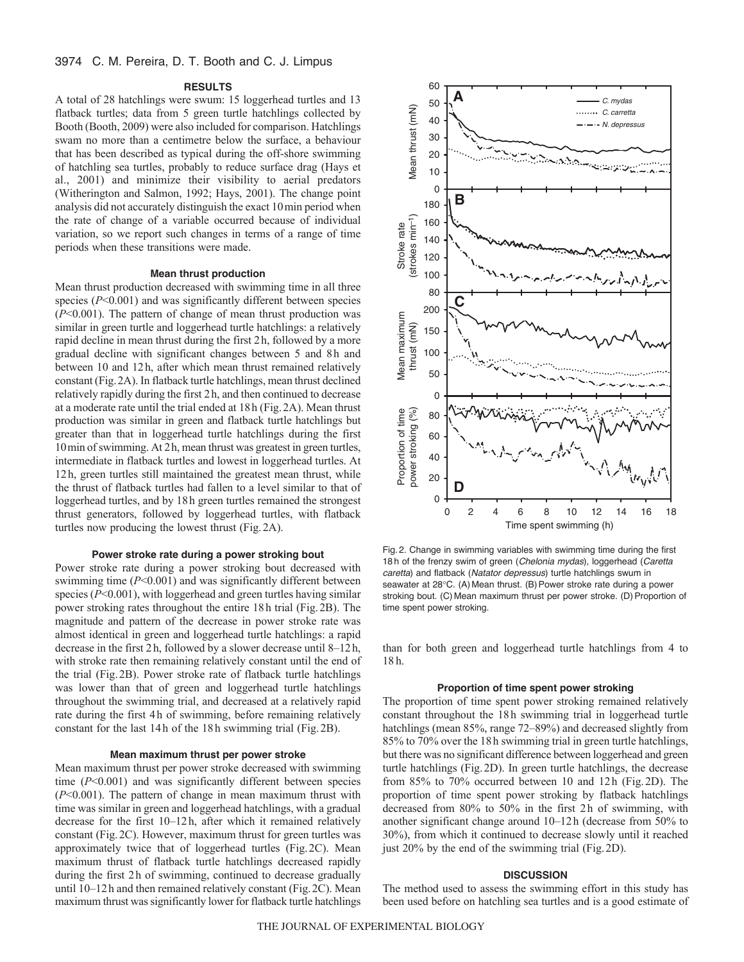## 3974 C. M. Pereira, D. T. Booth and C. J. Limpus

#### **RESULTS**

A total of 28 hatchlings were swum: 15 loggerhead turtles and 13 flatback turtles; data from 5 green turtle hatchlings collected by Booth (Booth, 2009) were also included for comparison. Hatchlings swam no more than a centimetre below the surface, a behaviour that has been described as typical during the off-shore swimming of hatchling sea turtles, probably to reduce surface drag (Hays et al., 2001) and minimize their visibility to aerial predators (Witherington and Salmon, 1992; Hays, 2001). The change point analysis did not accurately distinguish the exact 10min period when the rate of change of a variable occurred because of individual variation, so we report such changes in terms of a range of time periods when these transitions were made.

#### **Mean thrust production**

Mean thrust production decreased with swimming time in all three species ( $P<0.001$ ) and was significantly different between species (*P*<0.001). The pattern of change of mean thrust production was similar in green turtle and loggerhead turtle hatchlings: a relatively rapid decline in mean thrust during the first 2h, followed by a more gradual decline with significant changes between 5 and 8h and between 10 and 12h, after which mean thrust remained relatively constant (Fig.2A). In flatback turtle hatchlings, mean thrust declined relatively rapidly during the first 2h, and then continued to decrease at a moderate rate until the trial ended at 18h (Fig.2A). Mean thrust production was similar in green and flatback turtle hatchlings but greater than that in loggerhead turtle hatchlings during the first 10min of swimming. At 2h, mean thrust was greatest in green turtles, intermediate in flatback turtles and lowest in loggerhead turtles. At 12h, green turtles still maintained the greatest mean thrust, while the thrust of flatback turtles had fallen to a level similar to that of loggerhead turtles, and by 18h green turtles remained the strongest thrust generators, followed by loggerhead turtles, with flatback turtles now producing the lowest thrust (Fig.2A).

## **Power stroke rate during a power stroking bout**

Power stroke rate during a power stroking bout decreased with swimming time (*P*<0.001) and was significantly different between species ( $P<0.001$ ), with loggerhead and green turtles having similar power stroking rates throughout the entire 18h trial (Fig.2B). The magnitude and pattern of the decrease in power stroke rate was almost identical in green and loggerhead turtle hatchlings: a rapid decrease in the first 2h, followed by a slower decrease until 8–12h, with stroke rate then remaining relatively constant until the end of the trial (Fig.2B). Power stroke rate of flatback turtle hatchlings was lower than that of green and loggerhead turtle hatchlings throughout the swimming trial, and decreased at a relatively rapid rate during the first 4h of swimming, before remaining relatively constant for the last 14h of the 18h swimming trial (Fig.2B).

#### **Mean maximum thrust per power stroke**

Mean maximum thrust per power stroke decreased with swimming time (*P*<0.001) and was significantly different between species (*P*<0.001). The pattern of change in mean maximum thrust with time was similar in green and loggerhead hatchlings, with a gradual decrease for the first 10–12h, after which it remained relatively constant (Fig.2C). However, maximum thrust for green turtles was approximately twice that of loggerhead turtles (Fig.2C). Mean maximum thrust of flatback turtle hatchlings decreased rapidly during the first 2h of swimming, continued to decrease gradually until 10–12h and then remained relatively constant (Fig.2C). Mean maximum thrust was significantly lower for flatback turtle hatchlings



Fig. 2. Change in swimming variables with swimming time during the first 18 h of the frenzy swim of green (*Chelonia mydas*), loggerhead (*Caretta caretta*) and flatback (*Natator depressus*) turtle hatchlings swum in seawater at 28°C. (A) Mean thrust. (B) Power stroke rate during a power stroking bout. (C) Mean maximum thrust per power stroke. (D) Proportion of time spent power stroking.

than for both green and loggerhead turtle hatchlings from 4 to 18 h.

#### **Proportion of time spent power stroking**

The proportion of time spent power stroking remained relatively constant throughout the 18h swimming trial in loggerhead turtle hatchlings (mean 85%, range 72–89%) and decreased slightly from 85% to 70% over the 18h swimming trial in green turtle hatchlings, but there was no significant difference between loggerhead and green turtle hatchlings (Fig.2D). In green turtle hatchlings, the decrease from 85% to 70% occurred between 10 and 12h (Fig.2D). The proportion of time spent power stroking by flatback hatchlings decreased from 80% to 50% in the first 2h of swimming, with another significant change around 10–12h (decrease from 50% to 30%), from which it continued to decrease slowly until it reached just 20% by the end of the swimming trial (Fig.2D).

#### **DISCUSSION**

The method used to assess the swimming effort in this study has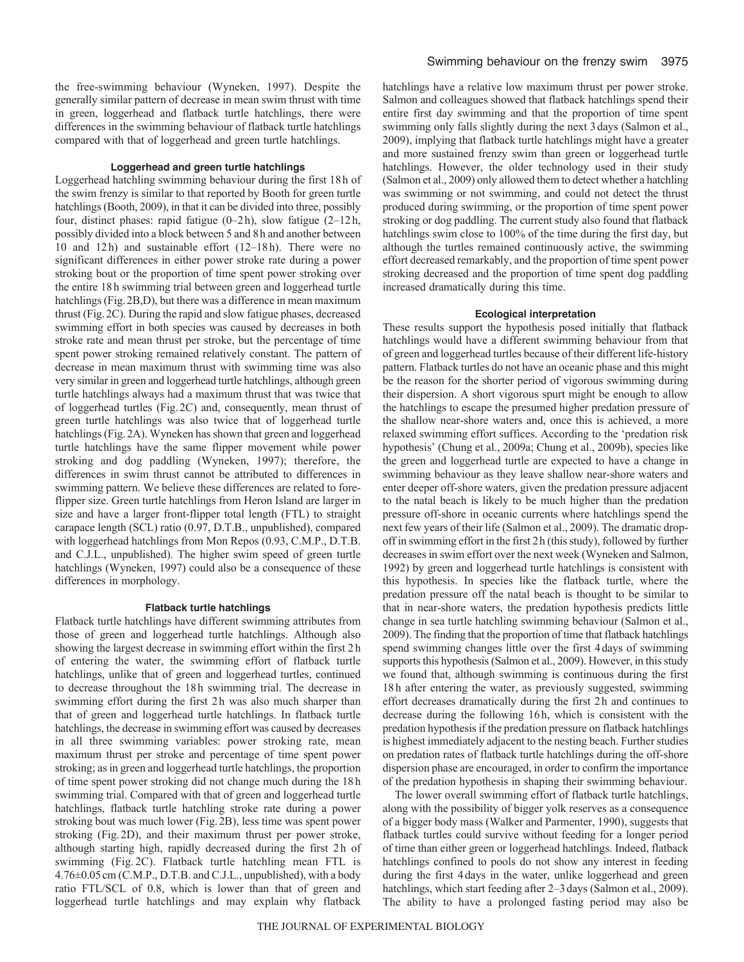the free-swimming behaviour (Wyneken, 1997). Despite the generally similar pattern of decrease in mean swim thrust with time in green, loggerhead and flatback turtle hatchlings, there were differences in the swimming behaviour of flatback turtle hatchlings compared with that of loggerhead and green turtle hatchlings.

## **Loggerhead and green turtle hatchlings**

Loggerhead hatchling swimming behaviour during the first 18h of the swim frenzy is similar to that reported by Booth for green turtle hatchlings (Booth, 2009), in that it can be divided into three, possibly four, distinct phases: rapid fatigue (0–2h), slow fatigue (2–12h, possibly divided into a block between 5 and 8h and another between 10 and 12h) and sustainable effort (12–18h). There were no significant differences in either power stroke rate during a power stroking bout or the proportion of time spent power stroking over the entire 18h swimming trial between green and loggerhead turtle hatchlings (Fig.2B,D), but there was a difference in mean maximum thrust (Fig.2C). During the rapid and slow fatigue phases, decreased swimming effort in both species was caused by decreases in both stroke rate and mean thrust per stroke, but the percentage of time spent power stroking remained relatively constant. The pattern of decrease in mean maximum thrust with swimming time was also very similar in green and loggerhead turtle hatchlings, although green turtle hatchlings always had a maximum thrust that was twice that of loggerhead turtles (Fig.2C) and, consequently, mean thrust of green turtle hatchlings was also twice that of loggerhead turtle hatchlings (Fig.2A). Wyneken has shown that green and loggerhead turtle hatchlings have the same flipper movement while power stroking and dog paddling (Wyneken, 1997); therefore, the differences in swim thrust cannot be attributed to differences in swimming pattern. We believe these differences are related to foreflipper size. Green turtle hatchlings from Heron Island are larger in size and have a larger front-flipper total length (FTL) to straight carapace length (SCL) ratio (0.97, D.T.B., unpublished), compared with loggerhead hatchlings from Mon Repos (0.93, C.M.P., D.T.B. and C.J.L., unpublished). The higher swim speed of green turtle hatchlings (Wyneken, 1997) could also be a consequence of these differences in morphology.

#### **Flatback turtle hatchlings**

Flatback turtle hatchlings have different swimming attributes from those of green and loggerhead turtle hatchlings. Although also showing the largest decrease in swimming effort within the first 2h of entering the water, the swimming effort of flatback turtle hatchlings, unlike that of green and loggerhead turtles, continued to decrease throughout the 18h swimming trial. The decrease in swimming effort during the first 2h was also much sharper than that of green and loggerhead turtle hatchlings. In flatback turtle hatchlings, the decrease in swimming effort was caused by decreases in all three swimming variables: power stroking rate, mean maximum thrust per stroke and percentage of time spent power stroking; as in green and loggerhead turtle hatchlings, the proportion of time spent power stroking did not change much during the 18h swimming trial. Compared with that of green and loggerhead turtle hatchlings, flatback turtle hatchling stroke rate during a power stroking bout was much lower (Fig.2B), less time was spent power stroking (Fig.2D), and their maximum thrust per power stroke, although starting high, rapidly decreased during the first 2h of swimming (Fig. 2C). Flatback turtle hatchling mean FTL is 4.76±0.05cm (C.M.P., D.T.B. and C.J.L., unpublished), with a body ratio FTL/SCL of 0.8, which is lower than that of green and loggerhead turtle hatchlings and may explain why flatback

hatchlings have a relative low maximum thrust per power stroke. Salmon and colleagues showed that flatback hatchlings spend their entire first day swimming and that the proportion of time spent swimming only falls slightly during the next 3days (Salmon et al., 2009), implying that flatback turtle hatchlings might have a greater and more sustained frenzy swim than green or loggerhead turtle hatchlings. However, the older technology used in their study (Salmon et al., 2009) only allowed them to detect whether a hatchling was swimming or not swimming, and could not detect the thrust produced during swimming, or the proportion of time spent power stroking or dog paddling. The current study also found that flatback hatchlings swim close to 100% of the time during the first day, but although the turtles remained continuously active, the swimming effort decreased remarkably, and the proportion of time spent power stroking decreased and the proportion of time spent dog paddling increased dramatically during this time.

#### **Ecological interpretation**

These results support the hypothesis posed initially that flatback hatchlings would have a different swimming behaviour from that of green and loggerhead turtles because of their different life-history pattern. Flatback turtles do not have an oceanic phase and this might be the reason for the shorter period of vigorous swimming during their dispersion. A short vigorous spurt might be enough to allow the hatchlings to escape the presumed higher predation pressure of the shallow near-shore waters and, once this is achieved, a more relaxed swimming effort suffices. According to the 'predation risk hypothesis' (Chung et al., 2009a; Chung et al., 2009b), species like the green and loggerhead turtle are expected to have a change in swimming behaviour as they leave shallow near-shore waters and enter deeper off-shore waters, given the predation pressure adjacent to the natal beach is likely to be much higher than the predation pressure off-shore in oceanic currents where hatchlings spend the next few years of their life (Salmon et al., 2009). The dramatic dropoff in swimming effort in the first 2h (this study), followed by further decreases in swim effort over the next week (Wyneken and Salmon, 1992) by green and loggerhead turtle hatchlings is consistent with this hypothesis. In species like the flatback turtle, where the predation pressure off the natal beach is thought to be similar to that in near-shore waters, the predation hypothesis predicts little change in sea turtle hatchling swimming behaviour (Salmon et al., 2009). The finding that the proportion of time that flatback hatchlings spend swimming changes little over the first 4days of swimming supports this hypothesis (Salmon et al., 2009). However, in this study we found that, although swimming is continuous during the first 18h after entering the water, as previously suggested, swimming effort decreases dramatically during the first 2h and continues to decrease during the following 16h, which is consistent with the predation hypothesis if the predation pressure on flatback hatchlings is highest immediately adjacent to the nesting beach. Further studies on predation rates of flatback turtle hatchlings during the off-shore dispersion phase are encouraged, in order to confirm the importance of the predation hypothesis in shaping their swimming behaviour.

The lower overall swimming effort of flatback turtle hatchlings, along with the possibility of bigger yolk reserves as a consequence of a bigger body mass (Walker and Parmenter, 1990), suggests that flatback turtles could survive without feeding for a longer period of time than either green or loggerhead hatchlings. Indeed, flatback hatchlings confined to pools do not show any interest in feeding during the first 4days in the water, unlike loggerhead and green hatchlings, which start feeding after 2–3 days (Salmon et al., 2009). The ability to have a prolonged fasting period may also be